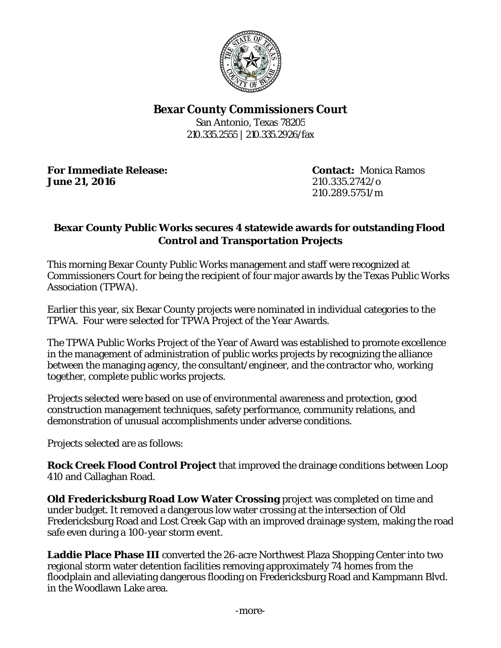

## **Bexar County Commissioners Court**

San Antonio, Texas 78205 210.335.2555 | 210.335.2926/fax

**For Immediate Release: Contact:** Monica Ramos **June 21, 2016** 210.335.2742/o

210.289.5751/m

## **Bexar County Public Works secures 4 statewide awards for outstanding Flood Control and Transportation Projects**

This morning Bexar County Public Works management and staff were recognized at Commissioners Court for being the recipient of four major awards by the Texas Public Works Association (TPWA).

Earlier this year, six Bexar County projects were nominated in individual categories to the TPWA. Four were selected for TPWA Project of the Year Awards.

The TPWA Public Works Project of the Year of Award was established to promote excellence in the management of administration of public works projects by recognizing the alliance between the managing agency, the consultant/engineer, and the contractor who, working together, complete public works projects.

Projects selected were based on use of environmental awareness and protection, good construction management techniques, safety performance, community relations, and demonstration of unusual accomplishments under adverse conditions.

Projects selected are as follows:

**Rock Creek Flood Control Project** that improved the drainage conditions between Loop 410 and Callaghan Road.

**Old Fredericksburg Road Low Water Crossing** project was completed on time and under budget. It removed a dangerous low water crossing at the intersection of Old Fredericksburg Road and Lost Creek Gap with an improved drainage system, making the road safe even during a 100-year storm event.

**Laddie Place Phase III** converted the 26-acre Northwest Plaza Shopping Center into two regional storm water detention facilities removing approximately 74 homes from the floodplain and alleviating dangerous flooding on Fredericksburg Road and Kampmann Blvd. in the Woodlawn Lake area.